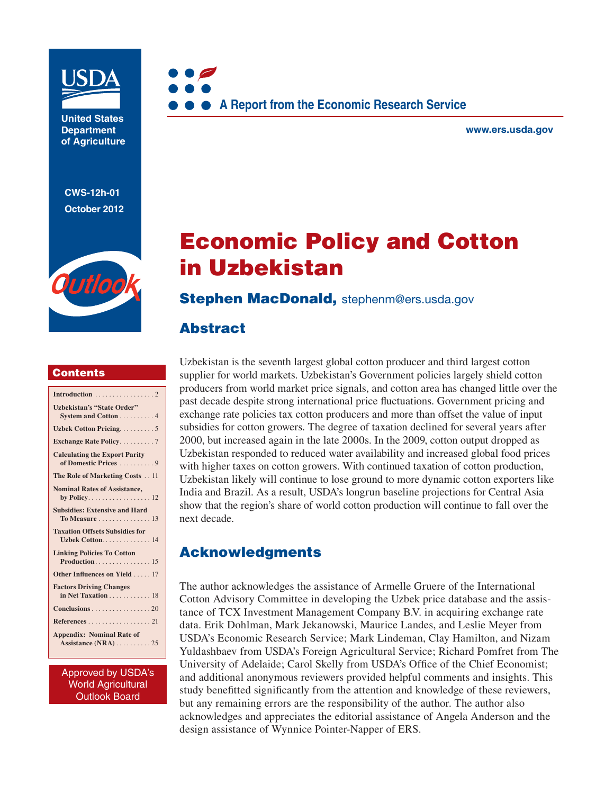

**United States Department of Agriculture** 

**CWS-12h-01 October 2012**





**www.ers.usda.gov** 

# **Economic Policy and Cotton in Uzbekistan**

#### **Stephen MacDonald,** stephenm@ers.usda.gov

### **Abstract**

#### **Contents**

| <b>Uzbekistan's "State Order"</b><br>System and Cotton 4      |
|---------------------------------------------------------------|
| Uzbek Cotton Pricing5                                         |
| <b>Exchange Rate Policy7</b>                                  |
| <b>Calculating the Export Parity</b><br>of Domestic Prices  9 |
| The Role of Marketing Costs 11                                |
| <b>Nominal Rates of Assistance,</b>                           |
| <b>Subsidies: Extensive and Hard</b><br>To Measure 13         |
| <b>Taxation Offsets Subsidies for</b><br>Uzbek Cotton. 14     |
| <b>Linking Policies To Cotton</b><br>Production 15            |
| Other Influences on Yield 17                                  |
| <b>Factors Driving Changes</b><br>in Net Taxation 18          |
| Conclusions 20                                                |
| References 21                                                 |
| <b>Appendix: Nominal Rate of</b>                              |

Approved by USDA's World Agricultural Outlook Board

Uzbekistan is the seventh largest global cotton producer and third largest cotton supplier for world markets. Uzbekistan's Government policies largely shield cotton producers from world market price signals, and cotton area has changed little over the past decade despite strong international price fluctuations. Government pricing and exchange rate policies tax cotton producers and more than offset the value of input subsidies for cotton growers. The degree of taxation declined for several years after 2000, but increased again in the late 2000s. In the 2009, cotton output dropped as Uzbekistan responded to reduced water availability and increased global food prices with higher taxes on cotton growers. With continued taxation of cotton production, Uzbekistan likely will continue to lose ground to more dynamic cotton exporters like India and Brazil. As a result, USDA's longrun baseline projections for Central Asia show that the region's share of world cotton production will continue to fall over the next decade.

# **Acknowledgments**

The author acknowledges the assistance of Armelle Gruere of the International Cotton Advisory Committee in developing the Uzbek price database and the assistance of TCX Investment Management Company B.V. in acquiring exchange rate data. Erik Dohlman, Mark Jekanowski, Maurice Landes, and Leslie Meyer from USDA's Economic Research Service; Mark Lindeman, Clay Hamilton, and Nizam Yuldashbaev from USDA's Foreign Agricultural Service; Richard Pomfret from The University of Adelaide; Carol Skelly from USDA's Office of the Chief Economist; and additional anonymous reviewers provided helpful comments and insights. This study benefitted significantly from the attention and knowledge of these reviewers, but any remaining errors are the responsibility of the author. The author also acknowledges and appreciates the editorial assistance of Angela Anderson and the design assistance of Wynnice Pointer-Napper of ERS.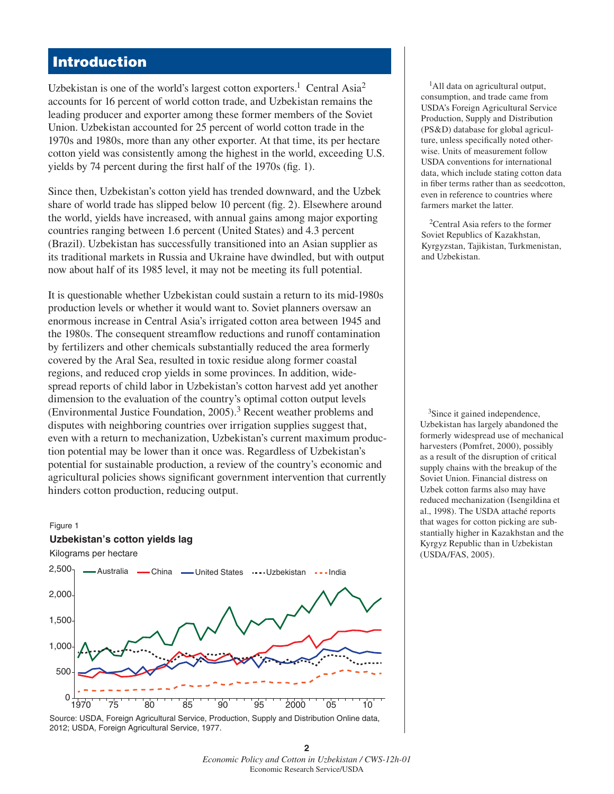# **Introduction**

Uzbekistan is one of the world's largest cotton exporters.<sup>1</sup> Central Asia<sup>2</sup> accounts for 16 percent of world cotton trade, and Uzbekistan remains the leading producer and exporter among these former members of the Soviet Union. Uzbekistan accounted for 25 percent of world cotton trade in the 1970s and 1980s, more than any other exporter. At that time, its per hectare cotton yield was consistently among the highest in the world, exceeding U.S. yields by 74 percent during the first half of the  $1970s$  (fig. 1).

Since then, Uzbekistan's cotton yield has trended downward, and the Uzbek share of world trade has slipped below 10 percent (fig. 2). Elsewhere around the world, yields have increased, with annual gains among major exporting countries ranging between 1.6 percent (United States) and 4.3 percent (Brazil). Uzbekistan has successfully transitioned into an Asian supplier as its traditional markets in Russia and Ukraine have dwindled, but with output now about half of its 1985 level, it may not be meeting its full potential.

It is questionable whether Uzbekistan could sustain a return to its mid-1980s production levels or whether it would want to. Soviet planners oversaw an enormous increase in Central Asia's irrigated cotton area between 1945 and the 1980s. The consequent streamflow reductions and runoff contamination by fertilizers and other chemicals substantially reduced the area formerly covered by the Aral Sea, resulted in toxic residue along former coastal regions, and reduced crop yields in some provinces. In addition, widespread reports of child labor in Uzbekistan's cotton harvest add yet another dimension to the evaluation of the country's optimal cotton output levels (Environmental Justice Foundation, 2005).3 Recent weather problems and disputes with neighboring countries over irrigation supplies suggest that, even with a return to mechanization, Uzbekistan's current maximum production potential may be lower than it once was. Regardless of Uzbekistan's potential for sustainable production, a review of the country's economic and agricultural policies shows significant government intervention that currently hinders cotton production, reducing output.

#### Figure 1

#### **Uzbekistan's cotton yields lag**

Kilograms per hectare



2012; USDA, Foreign Agricultural Service, 1977.

<sup>1</sup>All data on agricultural output, consumption, and trade came from USDA's Foreign Agricultural Service Production, Supply and Distribution (PS&D) database for global agriculture, unless specifically noted otherwise. Units of measurement follow USDA conventions for international data, which include stating cotton data in fiber terms rather than as seedcotton, even in reference to countries where farmers market the latter.

<sup>2</sup>Central Asia refers to the former Soviet Republics of Kazakhstan, Kyrgyzstan, Tajikistan, Turkmenistan, and Uzbekistan.

3Since it gained independence, Uzbekistan has largely abandoned the formerly widespread use of mechanical harvesters (Pomfret, 2000), possibly as a result of the disruption of critical supply chains with the breakup of the Soviet Union. Financial distress on Uzbek cotton farms also may have reduced mechanization (Isengildina et al., 1998). The USDA attaché reports that wages for cotton picking are substantially higher in Kazakhstan and the Kyrgyz Republic than in Uzbekistan (USDA/FAS, 2005).

**<sup>2</sup>** *Economic Policy and Cotton in Uzbekistan / CWS-12h-01*  Economic Research Service/USDA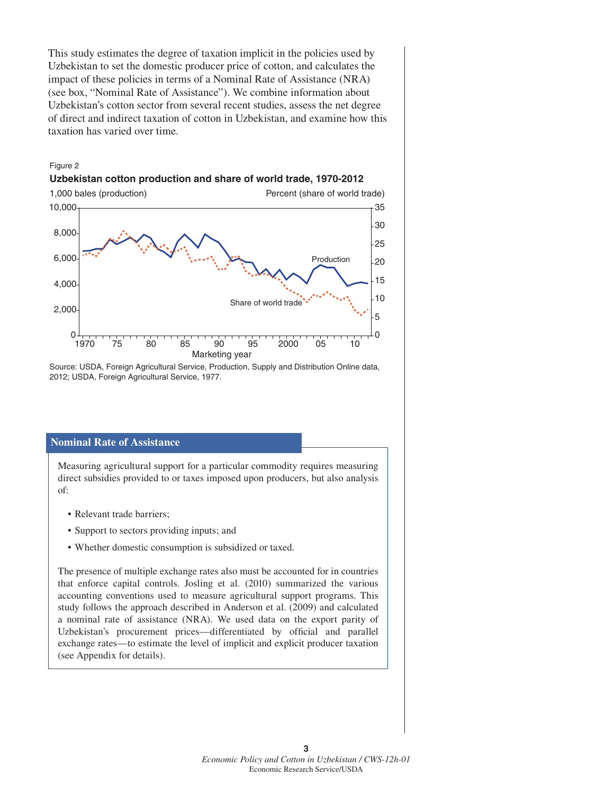This study estimates the degree of taxation implicit in the policies used by Uzbekistan to set the domestic producer price of cotton, and calculates the impact of these policies in terms of a Nominal Rate of Assistance (NRA) (see box, "Nominal Rate of Assistance"). We combine information about Uzbekistan's cotton sector from several recent studies, assess the net degree of direct and indirect taxation of cotton in Uzbekistan, and examine how this taxation has varied over time.

#### Figure 2

#### **Uzbekistan cotton production and share of world trade, 1970-2012**



Source: USDA, Foreign Agricultural Service, Production, Supply and Distribution Online data, 2012; USDA, Foreign Agricultural Service, 1977.

#### **Nominal Rate of Assistance**

Measuring agricultural support for a particular commodity requires measuring direct subsidies provided to or taxes imposed upon producers, but also analysis of:

- Relevant trade barriers;
- Support to sectors providing inputs; and
- Whether domestic consumption is subsidized or taxed.

The presence of multiple exchange rates also must be accounted for in countries that enforce capital controls. Josling et al. (2010) summarized the various accounting conventions used to measure agricultural support programs. This study follows the approach described in Anderson et al. (2009) and calculated a nominal rate of assistance (NRA). We used data on the export parity of Uzbekistan's procurement prices—differentiated by official and parallel exchange rates—to estimate the level of implicit and explicit producer taxation (see Appendix for details).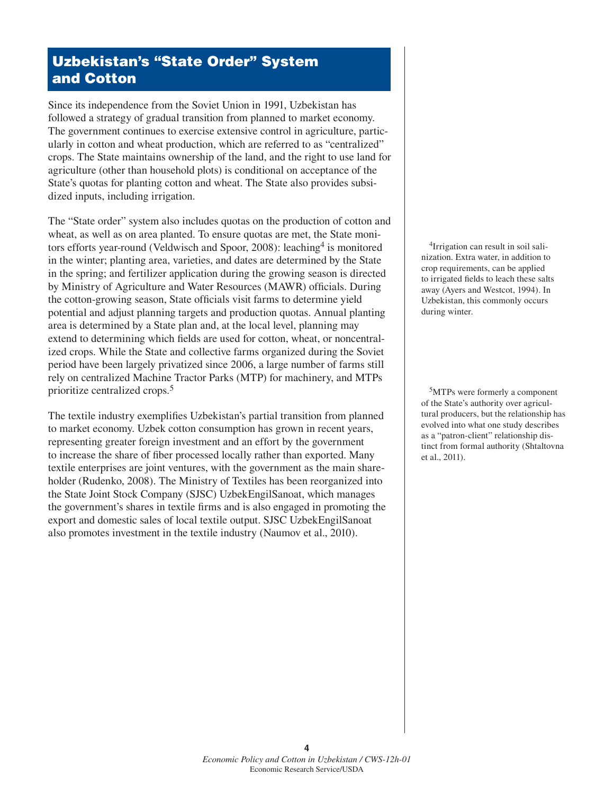### **Uzbekistan's "State Order" System and Cotton**

Since its independence from the Soviet Union in 1991, Uzbekistan has followed a strategy of gradual transition from planned to market economy. The government continues to exercise extensive control in agriculture, particularly in cotton and wheat production, which are referred to as "centralized" crops. The State maintains ownership of the land, and the right to use land for agriculture (other than household plots) is conditional on acceptance of the State's quotas for planting cotton and wheat. The State also provides subsidized inputs, including irrigation.

The "State order" system also includes quotas on the production of cotton and wheat, as well as on area planted. To ensure quotas are met, the State monitors efforts year-round (Veldwisch and Spoor, 2008): leaching<sup>4</sup> is monitored in the winter; planting area, varieties, and dates are determined by the State in the spring; and fertilizer application during the growing season is directed by Ministry of Agriculture and Water Resources (MAWR) officials. During the cotton-growing season, State officials visit farms to determine yield potential and adjust planning targets and production quotas. Annual planting area is determined by a State plan and, at the local level, planning may extend to determining which fields are used for cotton, wheat, or noncentralized crops. While the State and collective farms organized during the Soviet period have been largely privatized since 2006, a large number of farms still rely on centralized Machine Tractor Parks (MTP) for machinery, and MTPs prioritize centralized crops.<sup>5</sup>

The textile industry exemplifies Uzbekistan's partial transition from planned to market economy. Uzbek cotton consumption has grown in recent years, representing greater foreign investment and an effort by the government to increase the share of fiber processed locally rather than exported. Many textile enterprises are joint ventures, with the government as the main shareholder (Rudenko, 2008). The Ministry of Textiles has been reorganized into the State Joint Stock Company (SJSC) UzbekEngilSanoat, which manages the government's shares in textile firms and is also engaged in promoting the export and domestic sales of local textile output. SJSC UzbekEngilSanoat also promotes investment in the textile industry (Naumov et al., 2010).

4Irrigation can result in soil salinization. Extra water, in addition to crop requirements, can be applied to irrigated fields to leach these salts away (Ayers and Westcot, 1994). In Uzbekistan, this commonly occurs during winter.

5MTPs were formerly a component of the State's authority over agricultural producers, but the relationship has evolved into what one study describes as a "patron-client" relationship distinct from formal authority (Shtaltovna et al., 2011).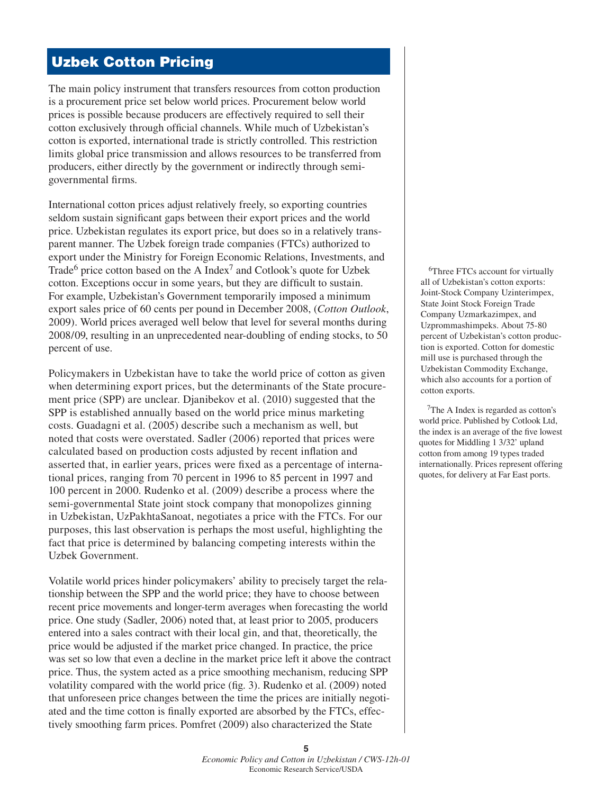### **Uzbek Cotton Pricing**

The main policy instrument that transfers resources from cotton production is a procurement price set below world prices. Procurement below world prices is possible because producers are effectively required to sell their cotton exclusively through official channels. While much of Uzbekistan's cotton is exported, international trade is strictly controlled. This restriction limits global price transmission and allows resources to be transferred from producers, either directly by the government or indirectly through semigovernmental firms.

International cotton prices adjust relatively freely, so exporting countries seldom sustain significant gaps between their export prices and the world price. Uzbekistan regulates its export price, but does so in a relatively transparent manner. The Uzbek foreign trade companies (FTCs) authorized to export under the Ministry for Foreign Economic Relations, Investments, and Trade<sup>6</sup> price cotton based on the A Index<sup>7</sup> and Cotlook's quote for Uzbek cotton. Exceptions occur in some years, but they are difficult to sustain. For example, Uzbekistan's Government temporarily imposed a minimum export sales price of 60 cents per pound in December 2008, (*Cotton Outlook*, 2009). World prices averaged well below that level for several months during 2008/09, resulting in an unprecedented near-doubling of ending stocks, to 50 percent of use.

Policymakers in Uzbekistan have to take the world price of cotton as given when determining export prices, but the determinants of the State procurement price (SPP) are unclear. Djanibekov et al. (2010) suggested that the SPP is established annually based on the world price minus marketing costs. Guadagni et al. (2005) describe such a mechanism as well, but noted that costs were overstated. Sadler (2006) reported that prices were calculated based on production costs adjusted by recent inflation and asserted that, in earlier years, prices were fixed as a percentage of international prices, ranging from 70 percent in 1996 to 85 percent in 1997 and 100 percent in 2000. Rudenko et al. (2009) describe a process where the semi-governmental State joint stock company that monopolizes ginning in Uzbekistan, UzPakhtaSanoat, negotiates a price with the FTCs. For our purposes, this last observation is perhaps the most useful, highlighting the fact that price is determined by balancing competing interests within the Uzbek Government.

Volatile world prices hinder policymakers' ability to precisely target the relationship between the SPP and the world price; they have to choose between recent price movements and longer-term averages when forecasting the world price. One study (Sadler, 2006) noted that, at least prior to 2005, producers entered into a sales contract with their local gin, and that, theoretically, the price would be adjusted if the market price changed. In practice, the price was set so low that even a decline in the market price left it above the contract price. Thus, the system acted as a price smoothing mechanism, reducing SPP volatility compared with the world price (fig. 3). Rudenko et al.  $(2009)$  noted that unforeseen price changes between the time the prices are initially negotiated and the time cotton is finally exported are absorbed by the FTCs, effectively smoothing farm prices. Pomfret (2009) also characterized the State

<sup>6</sup>Three FTCs account for virtually all of Uzbekistan's cotton exports: Joint-Stock Company Uzinterimpex, State Joint Stock Foreign Trade Company Uzmarkazimpex, and Uzprommashimpeks. About 75-80 percent of Uzbekistan's cotton production is exported. Cotton for domestic mill use is purchased through the Uzbekistan Commodity Exchange, which also accounts for a portion of cotton exports.

7The A Index is regarded as cotton's world price. Published by Cotlook Ltd, the index is an average of the five lowest quotes for Middling 1 3/32' upland cotton from among 19 types traded internationally. Prices represent offering quotes, for delivery at Far East ports.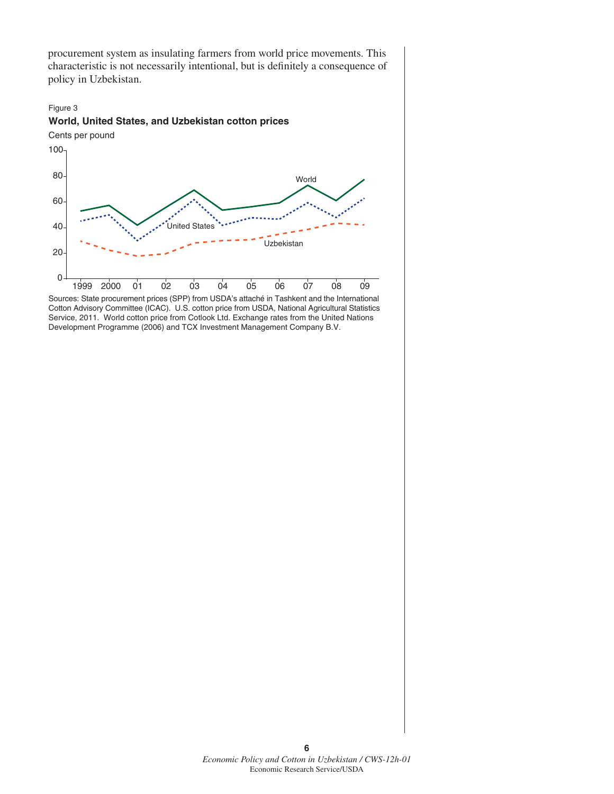procurement system as insulating farmers from world price movements. This characteristic is not necessarily intentional, but is definitely a consequence of policy in Uzbekistan.



Sources: State procurement prices (SPP) from USDA's attaché in Tashkent and the International Cotton Advisory Committee (ICAC). U.S. cotton price from USDA, National Agricultural Statistics Service, 2011. World cotton price from Cotlook Ltd. Exchange rates from the United Nations Development Programme (2006) and TCX Investment Management Company B.V.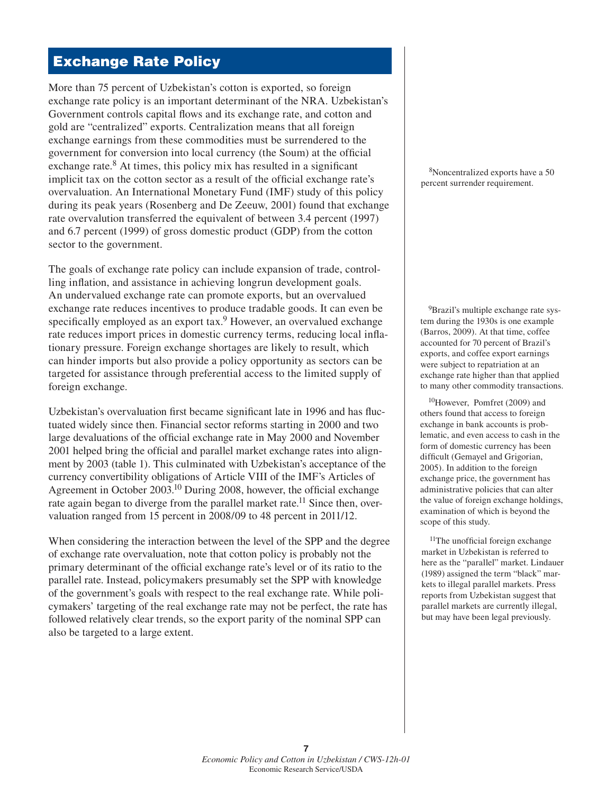## **Exchange Rate Policy**

More than 75 percent of Uzbekistan's cotton is exported, so foreign exchange rate policy is an important determinant of the NRA. Uzbekistan's Government controls capital flows and its exchange rate, and cotton and gold are "centralized" exports. Centralization means that all foreign exchange earnings from these commodities must be surrendered to the government for conversion into local currency (the Soum) at the official exchange rate. $8$  At times, this policy mix has resulted in a significant implicit tax on the cotton sector as a result of the official exchange rate's overvaluation. An International Monetary Fund (IMF) study of this policy during its peak years (Rosenberg and De Zeeuw, 2001) found that exchange rate overvalution transferred the equivalent of between 3.4 percent (1997) and 6.7 percent (1999) of gross domestic product (GDP) from the cotton sector to the government.

The goals of exchange rate policy can include expansion of trade, controlling inflation, and assistance in achieving longrun development goals. An undervalued exchange rate can promote exports, but an overvalued exchange rate reduces incentives to produce tradable goods. It can even be specifically employed as an export  $\text{tax}$ . However, an overvalued exchange rate reduces import prices in domestic currency terms, reducing local inflationary pressure. Foreign exchange shortages are likely to result, which can hinder imports but also provide a policy opportunity as sectors can be targeted for assistance through preferential access to the limited supply of foreign exchange.

Uzbekistan's overvaluation first became significant late in 1996 and has fluctuated widely since then. Financial sector reforms starting in 2000 and two large devaluations of the official exchange rate in May 2000 and November 2001 helped bring the official and parallel market exchange rates into alignment by 2003 (table 1). This culminated with Uzbekistan's acceptance of the currency convertibility obligations of Article VIII of the IMF's Articles of Agreement in October  $2003$ <sup>10</sup> During 2008, however, the official exchange rate again began to diverge from the parallel market rate.<sup>11</sup> Since then, overvaluation ranged from 15 percent in 2008/09 to 48 percent in 2011/12.

When considering the interaction between the level of the SPP and the degree of exchange rate overvaluation, note that cotton policy is probably not the primary determinant of the official exchange rate's level or of its ratio to the parallel rate. Instead, policymakers presumably set the SPP with knowledge of the government's goals with respect to the real exchange rate. While policymakers' targeting of the real exchange rate may not be perfect, the rate has followed relatively clear trends, so the export parity of the nominal SPP can also be targeted to a large extent.

8Noncentralized exports have a 50 percent surrender requirement.

<sup>9</sup>Brazil's multiple exchange rate system during the 1930s is one example (Barros, 2009). At that time, coffee accounted for 70 percent of Brazil's exports, and coffee export earnings were subject to repatriation at an exchange rate higher than that applied to many other commodity transactions.

10However, Pomfret (2009) and others found that access to foreign exchange in bank accounts is problematic, and even access to cash in the form of domestic currency has been difficult (Gemayel and Grigorian, 2005). In addition to the foreign exchange price, the government has administrative policies that can alter the value of foreign exchange holdings, examination of which is beyond the scope of this study.

<sup>11</sup>The unofficial foreign exchange market in Uzbekistan is referred to here as the "parallel" market. Lindauer (1989) assigned the term "black" markets to illegal parallel markets. Press reports from Uzbekistan suggest that parallel markets are currently illegal, but may have been legal previously.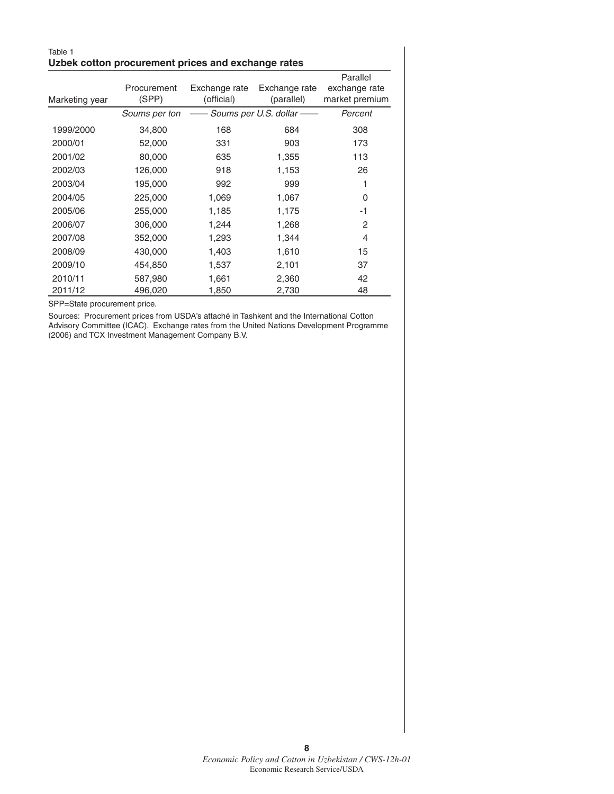#### Table 1 **Uzbek cotton procurement prices and exchange rates**

|                |               |               |                         | Parallel       |
|----------------|---------------|---------------|-------------------------|----------------|
|                | Procurement   | Exchange rate | Exchange rate           | exchange rate  |
| Marketing year | (SPP)         | (official)    | (parallel)              | market premium |
|                | Soums per ton |               | Soums per U.S. dollar - | Percent        |
| 1999/2000      | 34,800        | 168           | 684                     | 308            |
| 2000/01        | 52,000        | 331           | 903                     | 173            |
| 2001/02        | 80,000        | 635           | 1,355                   | 113            |
| 2002/03        | 126,000       | 918           | 1,153                   | 26             |
| 2003/04        | 195,000       | 992           | 999                     | 1              |
| 2004/05        | 225,000       | 1,069         | 1,067                   | 0              |
| 2005/06        | 255,000       | 1,185         | 1,175                   | -1             |
| 2006/07        | 306,000       | 1,244         | 1,268                   | 2              |
| 2007/08        | 352,000       | 1,293         | 1,344                   | 4              |
| 2008/09        | 430,000       | 1,403         | 1,610                   | 15             |
| 2009/10        | 454,850       | 1,537         | 2,101                   | 37             |
| 2010/11        | 587,980       | 1,661         | 2,360                   | 42             |
| 2011/12        | 496,020       | 1,850         | 2,730                   | 48             |

SPP=State procurement price.

Sources: Procurement prices from USDA's attaché in Tashkent and the International Cotton Advisory Committee (ICAC). Exchange rates from the United Nations Development Programme (2006) and TCX Investment Management Company B.V.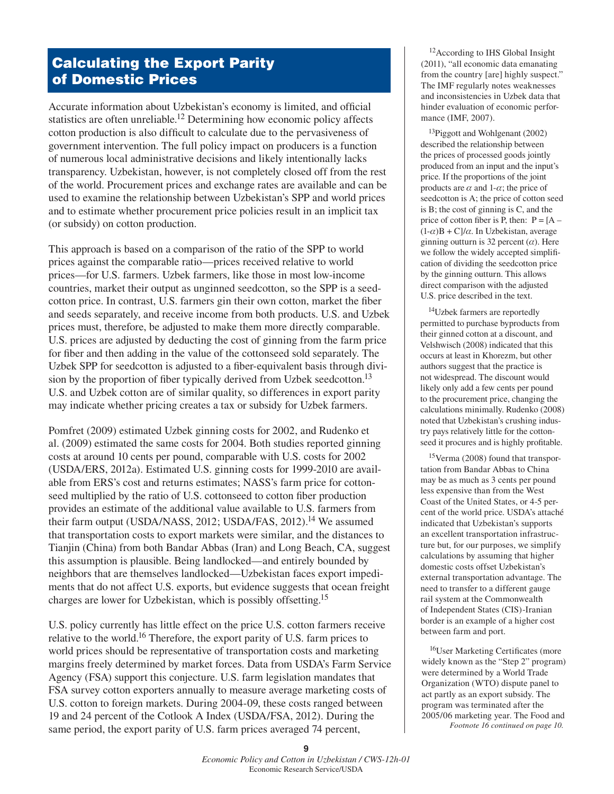## **Calculating the Export Parity of Domestic Prices**

Accurate information about Uzbekistan's economy is limited, and official statistics are often unreliable.<sup>12</sup> Determining how economic policy affects cotton production is also difficult to calculate due to the pervasiveness of government intervention. The full policy impact on producers is a function of numerous local administrative decisions and likely intentionally lacks transparency. Uzbekistan, however, is not completely closed off from the rest of the world. Procurement prices and exchange rates are available and can be used to examine the relationship between Uzbekistan's SPP and world prices and to estimate whether procurement price policies result in an implicit tax (or subsidy) on cotton production.

This approach is based on a comparison of the ratio of the SPP to world prices against the comparable ratio—prices received relative to world prices—for U.S. farmers. Uzbek farmers, like those in most low-income countries, market their output as unginned seedcotton, so the SPP is a seedcotton price. In contrast, U.S. farmers gin their own cotton, market the fiber and seeds separately, and receive income from both products. U.S. and Uzbek prices must, therefore, be adjusted to make them more directly comparable. U.S. prices are adjusted by deducting the cost of ginning from the farm price for fiber and then adding in the value of the cottonseed sold separately. The Uzbek SPP for seedcotton is adjusted to a fiber-equivalent basis through division by the proportion of fiber typically derived from Uzbek seedcotton.<sup>13</sup> U.S. and Uzbek cotton are of similar quality, so differences in export parity may indicate whether pricing creates a tax or subsidy for Uzbek farmers.

Pomfret (2009) estimated Uzbek ginning costs for 2002, and Rudenko et al. (2009) estimated the same costs for 2004. Both studies reported ginning costs at around 10 cents per pound, comparable with U.S. costs for 2002 (USDA/ERS, 2012a). Estimated U.S. ginning costs for 1999-2010 are available from ERS's cost and returns estimates; NASS's farm price for cottonseed multiplied by the ratio of U.S. cottonseed to cotton fiber production provides an estimate of the additional value available to U.S. farmers from their farm output (USDA/NASS, 2012; USDA/FAS, 2012).<sup>14</sup> We assumed that transportation costs to export markets were similar, and the distances to Tianjin (China) from both Bandar Abbas (Iran) and Long Beach, CA, suggest this assumption is plausible. Being landlocked—and entirely bounded by neighbors that are themselves landlocked—Uzbekistan faces export impediments that do not affect U.S. exports, but evidence suggests that ocean freight charges are lower for Uzbekistan, which is possibly offsetting.15

U.S. policy currently has little effect on the price U.S. cotton farmers receive relative to the world.<sup>16</sup> Therefore, the export parity of U.S. farm prices to world prices should be representative of transportation costs and marketing margins freely determined by market forces. Data from USDA's Farm Service Agency (FSA) support this conjecture. U.S. farm legislation mandates that FSA survey cotton exporters annually to measure average marketing costs of U.S. cotton to foreign markets. During 2004-09, these costs ranged between 19 and 24 percent of the Cotlook A Index (USDA/FSA, 2012). During the same period, the export parity of U.S. farm prices averaged 74 percent,

12According to IHS Global Insight (2011), "all economic data emanating from the country [are] highly suspect." The IMF regularly notes weaknesses and inconsistencies in Uzbek data that hinder evaluation of economic performance (IMF, 2007).

13Piggott and Wohlgenant (2002) described the relationship between the prices of processed goods jointly produced from an input and the input's price. If the proportions of the joint products are  $\alpha$  and 1- $\alpha$ ; the price of seedcotton is A; the price of cotton seed is B; the cost of ginning is C, and the price of cotton fiber is P, then:  $P = [A (1-\alpha)B + C$ / $\alpha$ . In Uzbekistan, average ginning outturn is 32 percent  $(\alpha)$ . Here we follow the widely accepted simplification of dividing the seedcotton price by the ginning outturn. This allows direct comparison with the adjusted U.S. price described in the text.

<sup>14</sup>Uzbek farmers are reportedly permitted to purchase byproducts from their ginned cotton at a discount, and Velshwisch (2008) indicated that this occurs at least in Khorezm, but other authors suggest that the practice is not widespread. The discount would likely only add a few cents per pound to the procurement price, changing the calculations minimally. Rudenko (2008) noted that Uzbekistan's crushing industry pays relatively little for the cottonseed it procures and is highly profitable.

<sup>15</sup>Verma (2008) found that transportation from Bandar Abbas to China may be as much as 3 cents per pound less expensive than from the West Coast of the United States, or 4-5 percent of the world price. USDA's attaché indicated that Uzbekistan's supports an excellent transportation infrastructure but, for our purposes, we simplify calculations by assuming that higher domestic costs offset Uzbekistan's external transportation advantage. The need to transfer to a different gauge rail system at the Commonwealth of Independent States (CIS)-Iranian border is an example of a higher cost between farm and port.

<sup>16</sup>User Marketing Certificates (more widely known as the "Step 2" program) were determined by a World Trade Organization (WTO) dispute panel to act partly as an export subsidy. The program was terminated after the 2005/06 marketing year. The Food and *Footnote 16 continued on page 10.*

**<sup>9</sup>** *Economic Policy and Cotton in Uzbekistan / CWS-12h-01*  Economic Research Service/USDA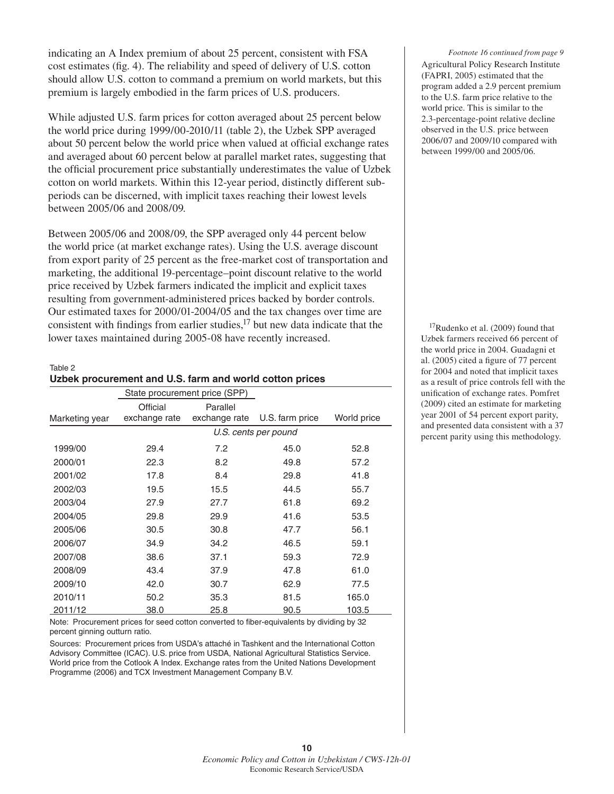indicating an A Index premium of about 25 percent, consistent with FSA cost estimates (fig. 4). The reliability and speed of delivery of U.S. cotton should allow U.S. cotton to command a premium on world markets, but this premium is largely embodied in the farm prices of U.S. producers.

While adjusted U.S. farm prices for cotton averaged about 25 percent below the world price during 1999/00-2010/11 (table 2), the Uzbek SPP averaged about 50 percent below the world price when valued at official exchange rates and averaged about 60 percent below at parallel market rates, suggesting that the official procurement price substantially underestimates the value of Uzbek cotton on world markets. Within this 12-year period, distinctly different subperiods can be discerned, with implicit taxes reaching their lowest levels between 2005/06 and 2008/09.

Between 2005/06 and 2008/09, the SPP averaged only 44 percent below the world price (at market exchange rates). Using the U.S. average discount from export parity of 25 percent as the free-market cost of transportation and marketing, the additional 19-percentage–point discount relative to the world price received by Uzbek farmers indicated the implicit and explicit taxes resulting from government-administered prices backed by border controls. Our estimated taxes for 2000/01-2004/05 and the tax changes over time are consistent with findings from earlier studies, $17$  but new data indicate that the lower taxes maintained during 2005-08 have recently increased.

Table 2 **Uzbek procurement and U.S. farm and world cotton prices**

|                | State procurement price (SPP) |               |                 |             |
|----------------|-------------------------------|---------------|-----------------|-------------|
|                | Official                      | Parallel      |                 |             |
| Marketing year | exchange rate                 | exchange rate | U.S. farm price | World price |
|                | U.S. cents per pound          |               |                 |             |
| 1999/00        | 29.4                          | 7.2           | 45.0            | 52.8        |
| 2000/01        | 22.3                          | 8.2           | 49.8            | 57.2        |
| 2001/02        | 17.8                          | 8.4           | 29.8            | 41.8        |
| 2002/03        | 19.5                          | 15.5          | 44.5            | 55.7        |
| 2003/04        | 27.9                          | 27.7          | 61.8            | 69.2        |
| 2004/05        | 29.8                          | 29.9          | 41.6            | 53.5        |
| 2005/06        | 30.5                          | 30.8          | 47.7            | 56.1        |
| 2006/07        | 34.9                          | 34.2          | 46.5            | 59.1        |
| 2007/08        | 38.6                          | 37.1          | 59.3            | 72.9        |
| 2008/09        | 43.4                          | 37.9          | 47.8            | 61.0        |
| 2009/10        | 42.0                          | 30.7          | 62.9            | 77.5        |
| 2010/11        | 50.2                          | 35.3          | 81.5            | 165.0       |
| 2011/12        | 38.0                          | 25.8          | 90.5            | 103.5       |

Note: Procurement prices for seed cotton converted to fiber-equivalents by dividing by 32 percent ginning outturn ratio.

Sources: Procurement prices from USDA's attaché in Tashkent and the International Cotton Advisory Committee (ICAC). U.S. price from USDA, National Agricultural Statistics Service. World price from the Cotlook A Index. Exchange rates from the United Nations Development Programme (2006) and TCX Investment Management Company B.V.

Agricultural Policy Research Institute (FAPRI, 2005) estimated that the program added a 2.9 percent premium to the U.S. farm price relative to the world price. This is similar to the 2.3-percentage-point relative decline observed in the U.S. price between 2006/07 and 2009/10 compared with between 1999/00 and 2005/06. *Footnote 16 continued from page 9*

17Rudenko et al. (2009) found that Uzbek farmers received 66 percent of the world price in 2004. Guadagni et al.  $(2005)$  cited a figure of 77 percent for 2004 and noted that implicit taxes as a result of price controls fell with the unification of exchange rates. Pomfret (2009) cited an estimate for marketing year 2001 of 54 percent export parity, and presented data consistent with a 37 percent parity using this methodology.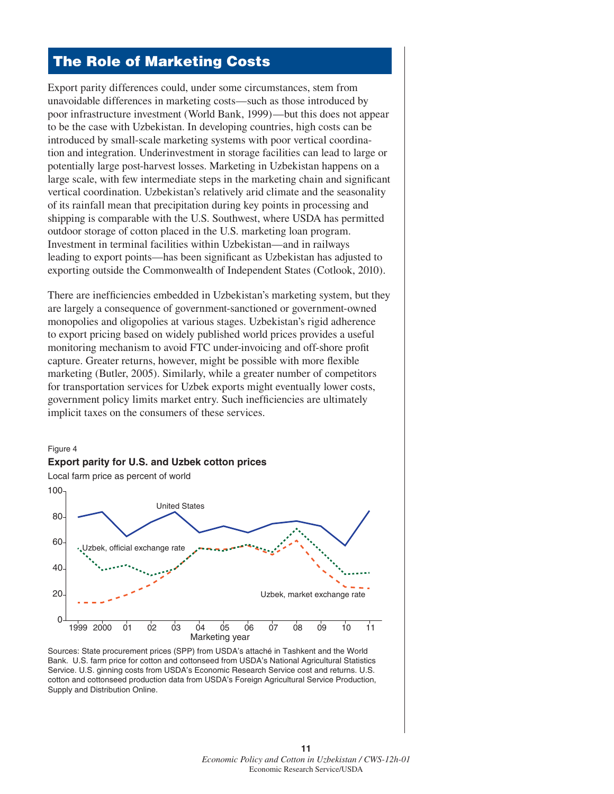# **The Role of Marketing Costs**

Export parity differences could, under some circumstances, stem from unavoidable differences in marketing costs—such as those introduced by poor infrastructure investment (World Bank, 1999)—but this does not appear to be the case with Uzbekistan. In developing countries, high costs can be introduced by small-scale marketing systems with poor vertical coordination and integration. Underinvestment in storage facilities can lead to large or potentially large post-harvest losses. Marketing in Uzbekistan happens on a large scale, with few intermediate steps in the marketing chain and significant vertical coordination. Uzbekistan's relatively arid climate and the seasonality of its rainfall mean that precipitation during key points in processing and shipping is comparable with the U.S. Southwest, where USDA has permitted outdoor storage of cotton placed in the U.S. marketing loan program. Investment in terminal facilities within Uzbekistan—and in railways leading to export points—has been significant as Uzbekistan has adjusted to exporting outside the Commonwealth of Independent States (Cotlook, 2010).

There are inefficiencies embedded in Uzbekistan's marketing system, but they are largely a consequence of government-sanctioned or government-owned monopolies and oligopolies at various stages. Uzbekistan's rigid adherence to export pricing based on widely published world prices provides a useful monitoring mechanism to avoid FTC under-invoicing and off-shore profit capture. Greater returns, however, might be possible with more flexible marketing (Butler, 2005). Similarly, while a greater number of competitors for transportation services for Uzbek exports might eventually lower costs, government policy limits market entry. Such inefficiencies are ultimately implicit taxes on the consumers of these services.



Bank. U.S. farm price for cotton and cottonseed from USDA's National Agricultural Statistics Service. U.S. ginning costs from USDA's Economic Research Service cost and returns. U.S. cotton and cottonseed production data from USDA's Foreign Agricultural Service Production, Supply and Distribution Online.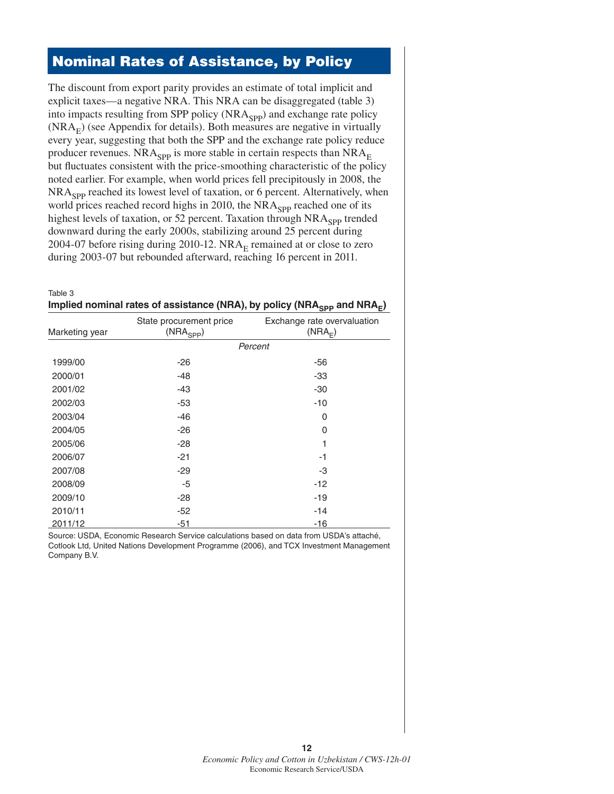### **Nominal Rates of Assistance, by Policy**

The discount from export parity provides an estimate of total implicit and explicit taxes—a negative NRA. This NRA can be disaggregated (table 3) into impacts resulting from SPP policy  $(NRA_{SPP})$  and exchange rate policy  $(NRA<sub>E</sub>)$  (see Appendix for details). Both measures are negative in virtually every year, suggesting that both the SPP and the exchange rate policy reduce producer revenues. NRA<sub>SPP</sub> is more stable in certain respects than  $NRA<sub>E</sub>$ but fluctuates consistent with the price-smoothing characteristic of the policy noted earlier. For example, when world prices fell precipitously in 2008, the NRA<sub>SPP</sub> reached its lowest level of taxation, or 6 percent. Alternatively, when world prices reached record highs in 2010, the  $NRA<sub>SPP</sub>$  reached one of its highest levels of taxation, or 52 percent. Taxation through  $NRA<sub>SPP</sub>$  trended downward during the early 2000s, stabilizing around 25 percent during 2004-07 before rising during 2010-12.  $NRA<sub>E</sub>$  remained at or close to zero during 2003-07 but rebounded afterward, reaching 16 percent in 2011.

| Table 3                                                                                         |  |
|-------------------------------------------------------------------------------------------------|--|
| Implied nominal rates of assistance (NRA), by policy (NRA <sub>SPP</sub> and NRA <sub>E</sub> ) |  |

| Marketing year | State procurement price<br>$(NRA_{SPP})$ | Exchange rate overvaluation<br>(NRA <sub>F</sub> ) |  |
|----------------|------------------------------------------|----------------------------------------------------|--|
|                | Percent                                  |                                                    |  |
| 1999/00        | $-26$                                    | -56                                                |  |
| 2000/01        | $-48$                                    | -33                                                |  |
| 2001/02        | $-43$                                    | $-30$                                              |  |
| 2002/03        | $-53$                                    | -10                                                |  |
| 2003/04        | $-46$                                    | 0                                                  |  |
| 2004/05        | $-26$                                    | 0                                                  |  |
| 2005/06        | $-28$                                    | 1                                                  |  |
| 2006/07        | $-21$                                    | $-1$                                               |  |
| 2007/08        | $-29$                                    | -3                                                 |  |
| 2008/09        | -5                                       | $-12$                                              |  |
| 2009/10        | $-28$                                    | $-19$                                              |  |
| 2010/11        | $-52$                                    | -14                                                |  |
| 2011/12        | $-51$                                    | $-16$                                              |  |

Source: USDA, Economic Research Service calculations based on data from USDA's attaché, Cotlook Ltd, United Nations Development Programme (2006), and TCX Investment Management Company B.V.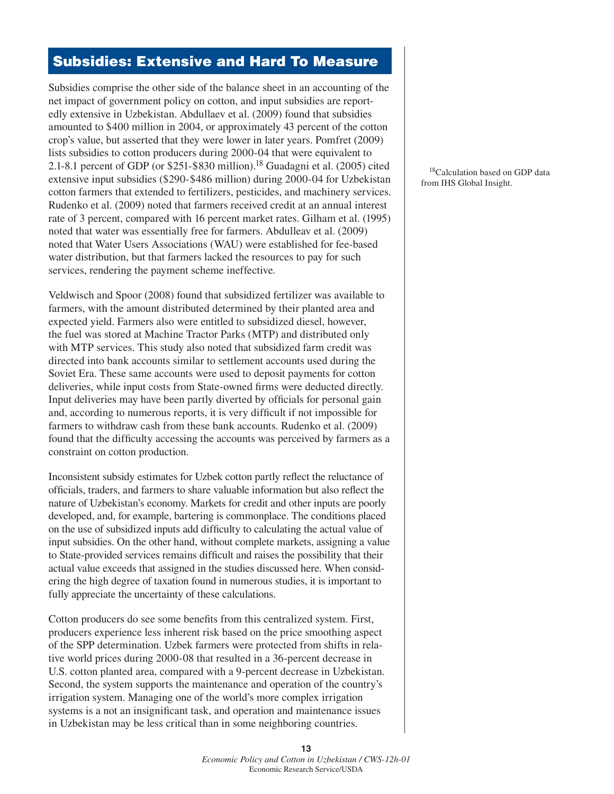### **Subsidies: Extensive and Hard To Measure**

Subsidies comprise the other side of the balance sheet in an accounting of the net impact of government policy on cotton, and input subsidies are reportedly extensive in Uzbekistan. Abdullaev et al. (2009) found that subsidies amounted to \$400 million in 2004, or approximately 43 percent of the cotton crop's value, but asserted that they were lower in later years. Pomfret (2009) lists subsidies to cotton producers during 2000-04 that were equivalent to 2.1-8.1 percent of GDP (or \$251-\$830 million).18 Guadagni et al. (2005) cited extensive input subsidies (\$290-\$486 million) during 2000-04 for Uzbekistan cotton farmers that extended to fertilizers, pesticides, and machinery services. Rudenko et al. (2009) noted that farmers received credit at an annual interest rate of 3 percent, compared with 16 percent market rates. Gilham et al. (1995) noted that water was essentially free for farmers. Abdulleav et al. (2009) noted that Water Users Associations (WAU) were established for fee-based water distribution, but that farmers lacked the resources to pay for such services, rendering the payment scheme ineffective.

Veldwisch and Spoor (2008) found that subsidized fertilizer was available to farmers, with the amount distributed determined by their planted area and expected yield. Farmers also were entitled to subsidized diesel, however, the fuel was stored at Machine Tractor Parks (MTP) and distributed only with MTP services. This study also noted that subsidized farm credit was directed into bank accounts similar to settlement accounts used during the Soviet Era. These same accounts were used to deposit payments for cotton deliveries, while input costs from State-owned firms were deducted directly. Input deliveries may have been partly diverted by officials for personal gain and, according to numerous reports, it is very difficult if not impossible for farmers to withdraw cash from these bank accounts. Rudenko et al. (2009) found that the difficulty accessing the accounts was perceived by farmers as a constraint on cotton production.

Inconsistent subsidy estimates for Uzbek cotton partly reflect the reluctance of officials, traders, and farmers to share valuable information but also reflect the nature of Uzbekistan's economy. Markets for credit and other inputs are poorly developed, and, for example, bartering is commonplace. The conditions placed on the use of subsidized inputs add difficulty to calculating the actual value of input subsidies. On the other hand, without complete markets, assigning a value to State-provided services remains difficult and raises the possibility that their actual value exceeds that assigned in the studies discussed here. When considering the high degree of taxation found in numerous studies, it is important to fully appreciate the uncertainty of these calculations.

Cotton producers do see some benefits from this centralized system. First, producers experience less inherent risk based on the price smoothing aspect of the SPP determination. Uzbek farmers were protected from shifts in relative world prices during 2000-08 that resulted in a 36-percent decrease in U.S. cotton planted area, compared with a 9-percent decrease in Uzbekistan. Second, the system supports the maintenance and operation of the country's irrigation system. Managing one of the world's more complex irrigation systems is a not an insignificant task, and operation and maintenance issues in Uzbekistan may be less critical than in some neighboring countries.

18Calculation based on GDP data from IHS Global Insight.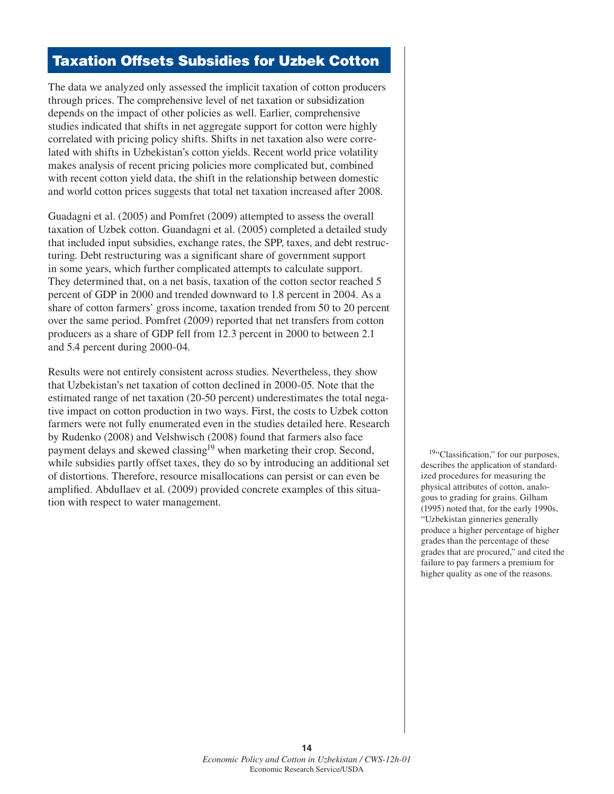#### **Taxation Offsets Subsidies for Uzbek Cotton**

The data we analyzed only assessed the implicit taxation of cotton producers through prices. The comprehensive level of net taxation or subsidization depends on the impact of other policies as well. Earlier, comprehensive studies indicated that shifts in net aggregate support for cotton were highly correlated with pricing policy shifts. Shifts in net taxation also were correlated with shifts in Uzbekistan's cotton yields. Recent world price volatility makes analysis of recent pricing policies more complicated but, combined with recent cotton yield data, the shift in the relationship between domestic and world cotton prices suggests that total net taxation increased after 2008.

Guadagni et al. (2005) and Pomfret (2009) attempted to assess the overall taxation of Uzbek cotton. Guandagni et al. (2005) completed a detailed study that included input subsidies, exchange rates, the SPP, taxes, and debt restructuring. Debt restructuring was a significant share of government support in some years, which further complicated attempts to calculate support. They determined that, on a net basis, taxation of the cotton sector reached 5 percent of GDP in 2000 and trended downward to 1.8 percent in 2004. As a share of cotton farmers' gross income, taxation trended from 50 to 20 percent over the same period. Pomfret (2009) reported that net transfers from cotton producers as a share of GDP fell from 12.3 percent in 2000 to between 2.1 and 5.4 percent during 2000-04.

Results were not entirely consistent across studies. Nevertheless, they show that Uzbekistan's net taxation of cotton declined in 2000-05. Note that the estimated range of net taxation (20-50 percent) underestimates the total negative impact on cotton production in two ways. First, the costs to Uzbek cotton farmers were not fully enumerated even in the studies detailed here. Research by Rudenko (2008) and Velshwisch (2008) found that farmers also face payment delays and skewed classing<sup>19</sup> when marketing their crop. Second, while subsidies partly offset taxes, they do so by introducing an additional set of distortions. Therefore, resource misallocations can persist or can even be amplified. Abdullaev et al. (2009) provided concrete examples of this situation with respect to water management.

<sup>19</sup>"Classification," for our purposes, describes the application of standardized procedures for measuring the physical attributes of cotton, analogous to grading for grains. Gilham (1995) noted that, for the early 1990s, "Uzbekistan ginneries generally produce a higher percentage of higher grades than the percentage of these grades that are procured," and cited the failure to pay farmers a premium for higher quality as one of the reasons.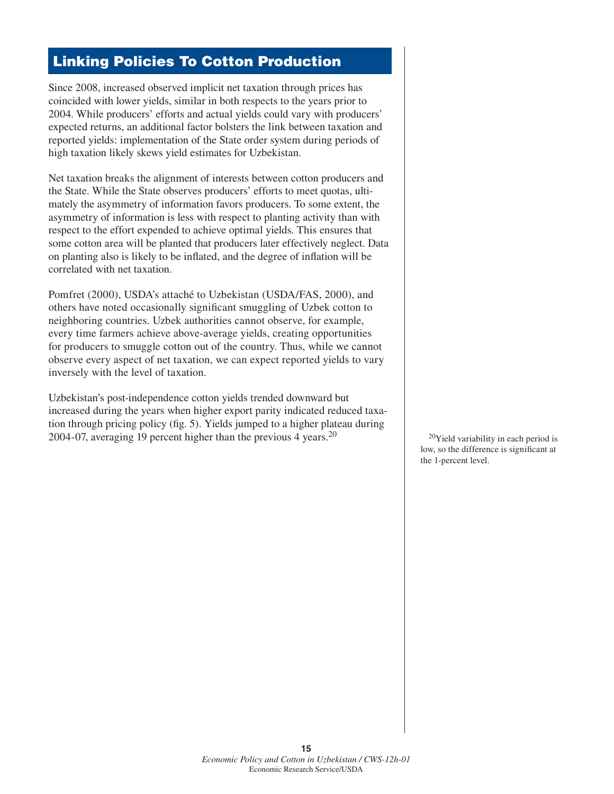## **Linking Policies To Cotton Production**

Since 2008, increased observed implicit net taxation through prices has coincided with lower yields, similar in both respects to the years prior to 2004. While producers' efforts and actual yields could vary with producers' expected returns, an additional factor bolsters the link between taxation and reported yields: implementation of the State order system during periods of high taxation likely skews yield estimates for Uzbekistan.

Net taxation breaks the alignment of interests between cotton producers and the State. While the State observes producers' efforts to meet quotas, ultimately the asymmetry of information favors producers. To some extent, the asymmetry of information is less with respect to planting activity than with respect to the effort expended to achieve optimal yields. This ensures that some cotton area will be planted that producers later effectively neglect. Data on planting also is likely to be inflated, and the degree of inflation will be correlated with net taxation.

Pomfret (2000), USDA's attaché to Uzbekistan (USDA/FAS, 2000), and others have noted occasionally significant smuggling of Uzbek cotton to neighboring countries. Uzbek authorities cannot observe, for example, every time farmers achieve above-average yields, creating opportunities for producers to smuggle cotton out of the country. Thus, while we cannot observe every aspect of net taxation, we can expect reported yields to vary inversely with the level of taxation.

Uzbekistan's post-independence cotton yields trended downward but increased during the years when higher export parity indicated reduced taxation through pricing policy (fig. 5). Yields jumped to a higher plateau during 2004-07, averaging 19 percent higher than the previous 4 years.<sup>20</sup>  $^{20}$   $^{20}$ Yield variability in each period is

low, so the difference is significant at the 1-percent level.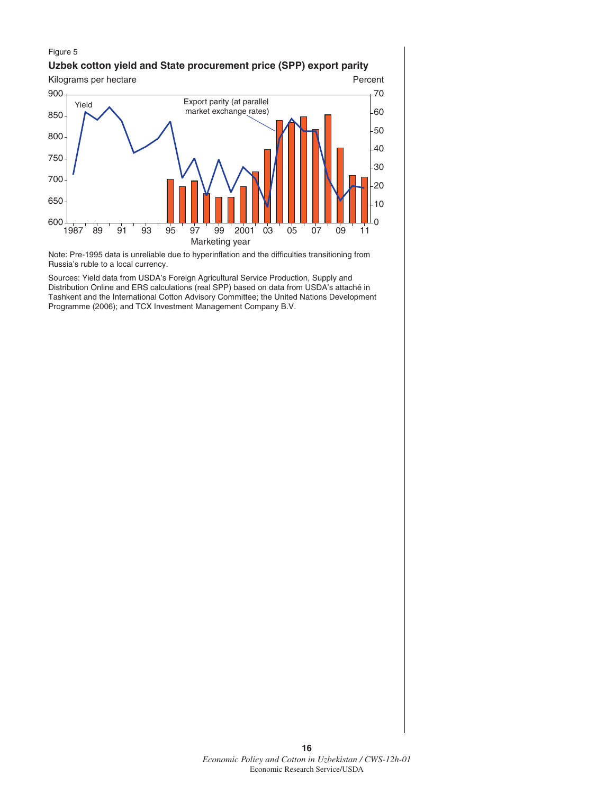#### Figure 5

#### **Uzbek cotton yield and State procurement price (SPP) export parity**



Note: Pre-1995 data is unreliable due to hyperinflation and the difficulties transitioning from Russia's ruble to a local currency.

Sources: Yield data from USDA's Foreign Agricultural Service Production, Supply and Distribution Online and ERS calculations (real SPP) based on data from USDA's attaché in Tashkent and the International Cotton Advisory Committee; the United Nations Development Programme (2006); and TCX Investment Management Company B.V.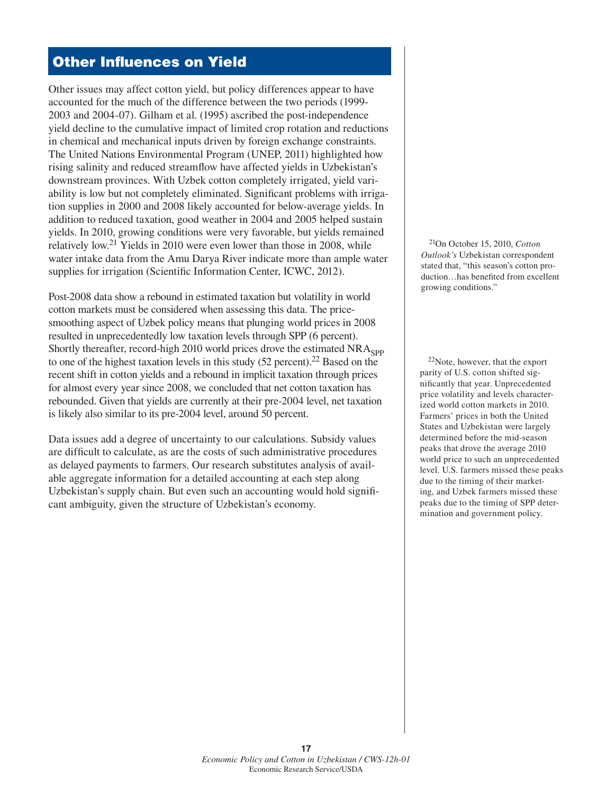## **Other Influences on Yield**

Other issues may affect cotton yield, but policy differences appear to have accounted for the much of the difference between the two periods (1999- 2003 and 2004-07). Gilham et al. (1995) ascribed the post-independence yield decline to the cumulative impact of limited crop rotation and reductions in chemical and mechanical inputs driven by foreign exchange constraints. The United Nations Environmental Program (UNEP, 2011) highlighted how rising salinity and reduced streamflow have affected yields in Uzbekistan's downstream provinces. With Uzbek cotton completely irrigated, yield variability is low but not completely eliminated. Significant problems with irrigation supplies in 2000 and 2008 likely accounted for below-average yields. In addition to reduced taxation, good weather in 2004 and 2005 helped sustain yields. In 2010, growing conditions were very favorable, but yields remained relatively low.21 Yields in 2010 were even lower than those in 2008, while water intake data from the Amu Darya River indicate more than ample water supplies for irrigation (Scientific Information Center, ICWC, 2012).

Post-2008 data show a rebound in estimated taxation but volatility in world cotton markets must be considered when assessing this data. The pricesmoothing aspect of Uzbek policy means that plunging world prices in 2008 resulted in unprecedentedly low taxation levels through SPP (6 percent). Shortly thereafter, record-high 2010 world prices drove the estimated  $NRA<sub>gpp</sub>$ to one of the highest taxation levels in this study  $(52 \text{ percent})$ .<sup>22</sup> Based on the recent shift in cotton yields and a rebound in implicit taxation through prices for almost every year since 2008, we concluded that net cotton taxation has rebounded. Given that yields are currently at their pre-2004 level, net taxation is likely also similar to its pre-2004 level, around 50 percent.

Data issues add a degree of uncertainty to our calculations. Subsidy values are difficult to calculate, as are the costs of such administrative procedures as delayed payments to farmers. Our research substitutes analysis of available aggregate information for a detailed accounting at each step along Uzbekistan's supply chain. But even such an accounting would hold significant ambiguity, given the structure of Uzbekistan's economy.

21On October 15, 2010, *Cotton Outlook's* Uzbekistan correspondent stated that, "this season's cotton production...has benefited from excellent growing conditions."

 $22$ Note, however, that the export parity of U.S. cotton shifted significantly that year. Unprecedented price volatility and levels characterized world cotton markets in 2010. Farmers' prices in both the United States and Uzbekistan were largely determined before the mid-season peaks that drove the average 2010 world price to such an unprecedented level. U.S. farmers missed these peaks due to the timing of their marketing, and Uzbek farmers missed these peaks due to the timing of SPP determination and government policy.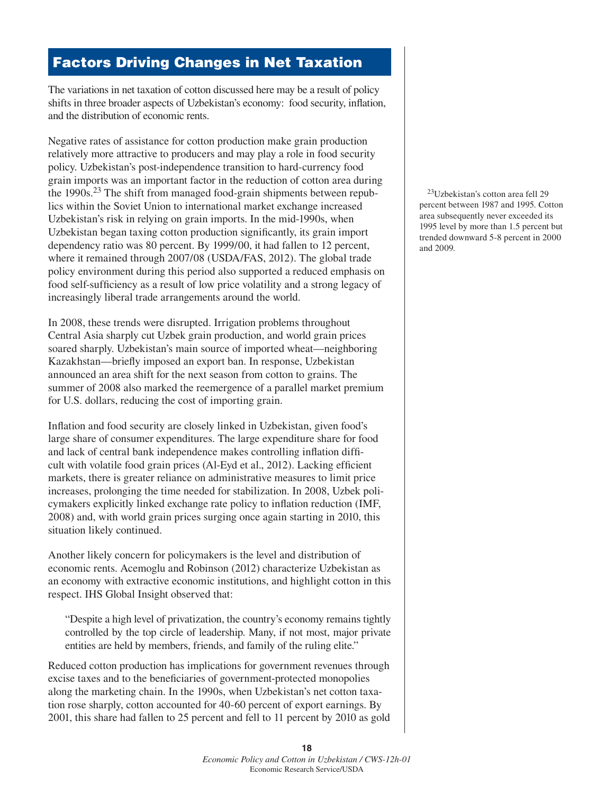## **Factors Driving Changes in Net Taxation**

The variations in net taxation of cotton discussed here may be a result of policy shifts in three broader aspects of Uzbekistan's economy: food security, inflation, and the distribution of economic rents.

Negative rates of assistance for cotton production make grain production relatively more attractive to producers and may play a role in food security policy. Uzbekistan's post-independence transition to hard-currency food grain imports was an important factor in the reduction of cotton area during the 1990s.23 The shift from managed food-grain shipments between republics within the Soviet Union to international market exchange increased Uzbekistan's risk in relying on grain imports. In the mid-1990s, when Uzbekistan began taxing cotton production significantly, its grain import dependency ratio was 80 percent. By 1999/00, it had fallen to 12 percent, where it remained through 2007/08 (USDA/FAS, 2012). The global trade policy environment during this period also supported a reduced emphasis on food self-sufficiency as a result of low price volatility and a strong legacy of increasingly liberal trade arrangements around the world.

In 2008, these trends were disrupted. Irrigation problems throughout Central Asia sharply cut Uzbek grain production, and world grain prices soared sharply. Uzbekistan's main source of imported wheat—neighboring Kazakhstan—briefly imposed an export ban. In response, Uzbekistan announced an area shift for the next season from cotton to grains. The summer of 2008 also marked the reemergence of a parallel market premium for U.S. dollars, reducing the cost of importing grain.

Inflation and food security are closely linked in Uzbekistan, given food's large share of consumer expenditures. The large expenditure share for food and lack of central bank independence makes controlling inflation difficult with volatile food grain prices (Al-Eyd et al., 2012). Lacking efficient markets, there is greater reliance on administrative measures to limit price increases, prolonging the time needed for stabilization. In 2008, Uzbek policymakers explicitly linked exchange rate policy to inflation reduction (IMF, 2008) and, with world grain prices surging once again starting in 2010, this situation likely continued.

Another likely concern for policymakers is the level and distribution of economic rents. Acemoglu and Robinson (2012) characterize Uzbekistan as an economy with extractive economic institutions, and highlight cotton in this respect. IHS Global Insight observed that:

 "Despite a high level of privatization, the country's economy remains tightly controlled by the top circle of leadership. Many, if not most, major private entities are held by members, friends, and family of the ruling elite."

Reduced cotton production has implications for government revenues through excise taxes and to the beneficiaries of government-protected monopolies along the marketing chain. In the 1990s, when Uzbekistan's net cotton taxation rose sharply, cotton accounted for 40-60 percent of export earnings. By 2001, this share had fallen to 25 percent and fell to 11 percent by 2010 as gold

23Uzbekistan's cotton area fell 29 percent between 1987 and 1995. Cotton area subsequently never exceeded its 1995 level by more than 1.5 percent but trended downward 5-8 percent in 2000 and 2009.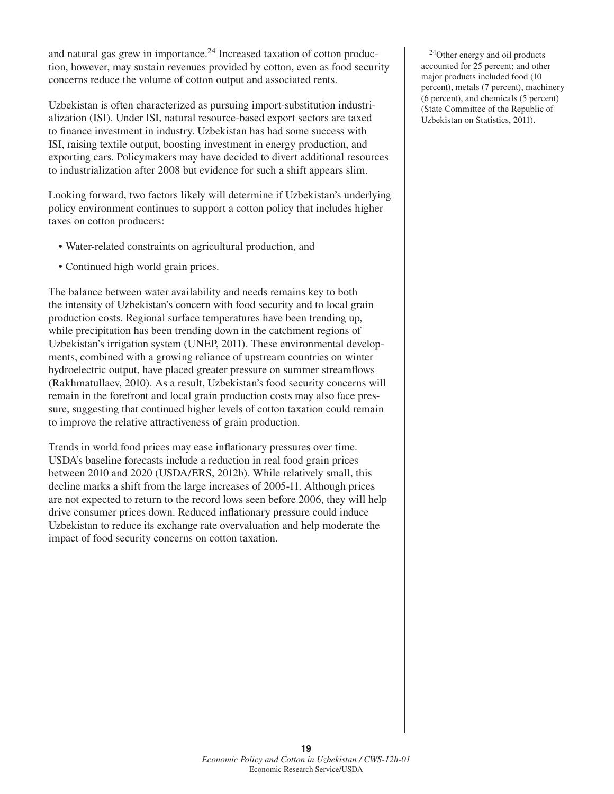and natural gas grew in importance.<sup>24</sup> Increased taxation of cotton production, however, may sustain revenues provided by cotton, even as food security concerns reduce the volume of cotton output and associated rents.

Uzbekistan is often characterized as pursuing import-substitution industrialization (ISI). Under ISI, natural resource-based export sectors are taxed to finance investment in industry. Uzbekistan has had some success with ISI, raising textile output, boosting investment in energy production, and exporting cars. Policymakers may have decided to divert additional resources to industrialization after 2008 but evidence for such a shift appears slim.

Looking forward, two factors likely will determine if Uzbekistan's underlying policy environment continues to support a cotton policy that includes higher taxes on cotton producers:

- Water-related constraints on agricultural production, and
- Continued high world grain prices.

The balance between water availability and needs remains key to both the intensity of Uzbekistan's concern with food security and to local grain production costs. Regional surface temperatures have been trending up, while precipitation has been trending down in the catchment regions of Uzbekistan's irrigation system (UNEP, 2011). These environmental developments, combined with a growing reliance of upstream countries on winter hydroelectric output, have placed greater pressure on summer streamflows (Rakhmatullaev, 2010). As a result, Uzbekistan's food security concerns will remain in the forefront and local grain production costs may also face pressure, suggesting that continued higher levels of cotton taxation could remain to improve the relative attractiveness of grain production.

Trends in world food prices may ease inflationary pressures over time. USDA's baseline forecasts include a reduction in real food grain prices between 2010 and 2020 (USDA/ERS, 2012b). While relatively small, this decline marks a shift from the large increases of 2005-11. Although prices are not expected to return to the record lows seen before 2006, they will help drive consumer prices down. Reduced inflationary pressure could induce Uzbekistan to reduce its exchange rate overvaluation and help moderate the impact of food security concerns on cotton taxation.

24Other energy and oil products accounted for 25 percent; and other major products included food (10 percent), metals (7 percent), machinery (6 percent), and chemicals (5 percent) (State Committee of the Republic of Uzbekistan on Statistics, 2011).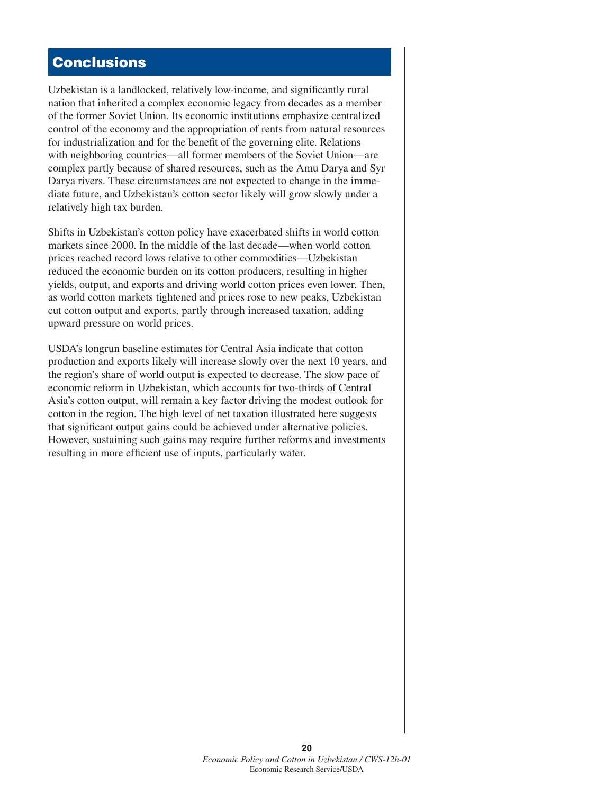## **Conclusions**

Uzbekistan is a landlocked, relatively low-income, and significantly rural nation that inherited a complex economic legacy from decades as a member of the former Soviet Union. Its economic institutions emphasize centralized control of the economy and the appropriation of rents from natural resources for industrialization and for the benefit of the governing elite. Relations with neighboring countries—all former members of the Soviet Union—are complex partly because of shared resources, such as the Amu Darya and Syr Darya rivers. These circumstances are not expected to change in the immediate future, and Uzbekistan's cotton sector likely will grow slowly under a relatively high tax burden.

Shifts in Uzbekistan's cotton policy have exacerbated shifts in world cotton markets since 2000. In the middle of the last decade—when world cotton prices reached record lows relative to other commodities—Uzbekistan reduced the economic burden on its cotton producers, resulting in higher yields, output, and exports and driving world cotton prices even lower. Then, as world cotton markets tightened and prices rose to new peaks, Uzbekistan cut cotton output and exports, partly through increased taxation, adding upward pressure on world prices.

USDA's longrun baseline estimates for Central Asia indicate that cotton production and exports likely will increase slowly over the next 10 years, and the region's share of world output is expected to decrease. The slow pace of economic reform in Uzbekistan, which accounts for two-thirds of Central Asia's cotton output, will remain a key factor driving the modest outlook for cotton in the region. The high level of net taxation illustrated here suggests that significant output gains could be achieved under alternative policies. However, sustaining such gains may require further reforms and investments resulting in more efficient use of inputs, particularly water.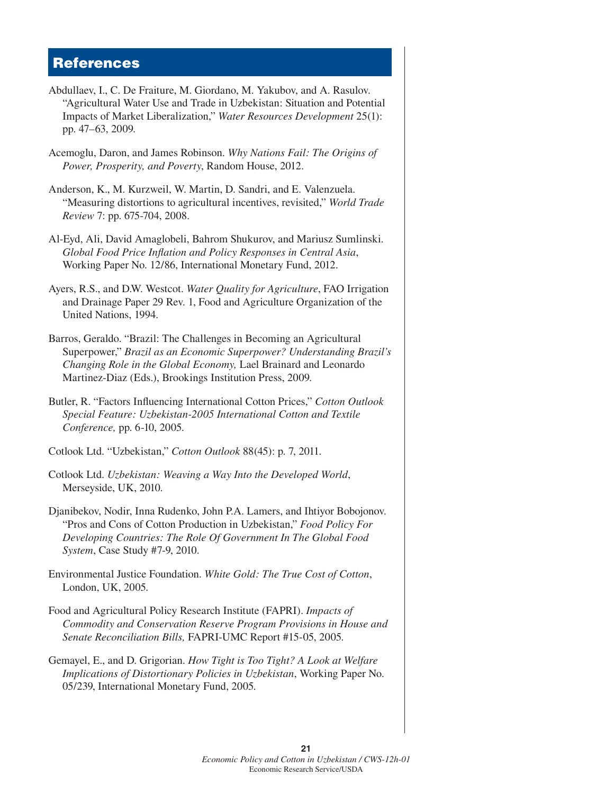#### **References**

- Abdullaev, I., C. De Fraiture, M. Giordano, M. Yakubov, and A. Rasulov. "Agricultural Water Use and Trade in Uzbekistan: Situation and Potential Impacts of Market Liberalization," *Water Resources Development* 25(1): pp. 47–63, 2009.
- Acemoglu, Daron, and James Robinson. *Why Nations Fail: The Origins of Power, Prosperity, and Poverty*, Random House, 2012.
- Anderson, K., M. Kurzweil, W. Martin, D. Sandri, and E. Valenzuela. "Measuring distortions to agricultural incentives, revisited," *World Trade Review* 7: pp. 675-704, 2008.
- Al-Eyd, Ali, David Amaglobeli, Bahrom Shukurov, and Mariusz Sumlinski. *Global Food Price Infl ation and Policy Responses in Central Asia*, Working Paper No. 12/86, International Monetary Fund, 2012.
- Ayers, R.S., and D.W. Westcot. *Water Quality for Agriculture*, FAO Irrigation and Drainage Paper 29 Rev. 1, Food and Agriculture Organization of the United Nations, 1994.
- Barros, Geraldo. "Brazil: The Challenges in Becoming an Agricultural Superpower," *Brazil as an Economic Superpower? Understanding Brazil's Changing Role in the Global Economy,* Lael Brainard and Leonardo Martinez-Diaz (Eds.), Brookings Institution Press, 2009.
- Butler, R. "Factors Influencing International Cotton Prices," *Cotton Outlook Special Feature: Uzbekistan-2005 International Cotton and Textile Conference,* pp. 6-10, 2005.
- Cotlook Ltd. "Uzbekistan," *Cotton Outlook* 88(45): p. 7, 2011.
- Cotlook Ltd. *Uzbekistan: Weaving a Way Into the Developed World*, Merseyside, UK, 2010.
- Djanibekov, Nodir, Inna Rudenko, John P.A. Lamers, and Ihtiyor Bobojonov. "Pros and Cons of Cotton Production in Uzbekistan," *Food Policy For Developing Countries: The Role Of Government In The Global Food System*, Case Study #7-9, 2010.
- Environmental Justice Foundation. *White Gold: The True Cost of Cotton*, London, UK, 2005.
- Food and Agricultural Policy Research Institute (FAPRI). *Impacts of Commodity and Conservation Reserve Program Provisions in House and Senate Reconciliation Bills,* FAPRI-UMC Report #15-05, 2005.
- Gemayel, E., and D. Grigorian. *How Tight is Too Tight? A Look at Welfare Implications of Distortionary Policies in Uzbekistan*, Working Paper No. 05/239, International Monetary Fund, 2005.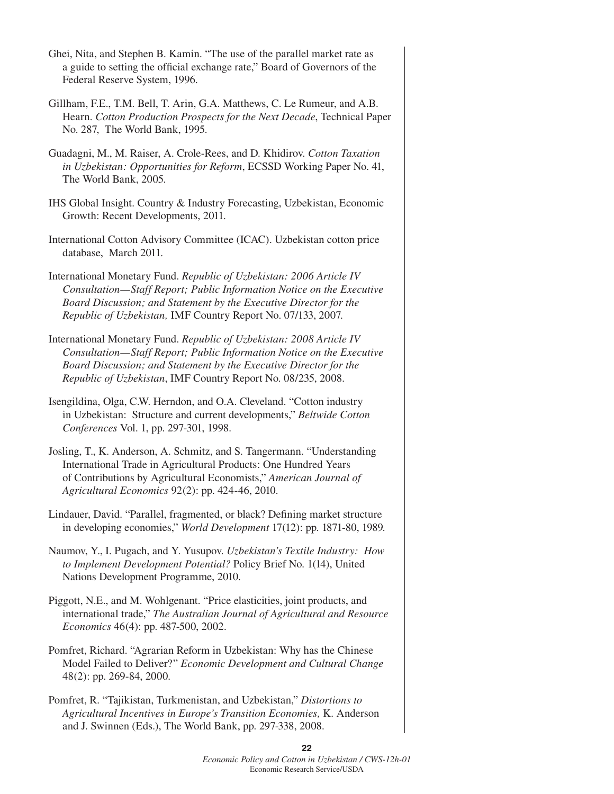- Ghei, Nita, and Stephen B. Kamin. "The use of the parallel market rate as a guide to setting the official exchange rate," Board of Governors of the Federal Reserve System, 1996.
- Gillham, F.E., T.M. Bell, T. Arin, G.A. Matthews, C. Le Rumeur, and A.B. Hearn. *Cotton Production Prospects for the Next Decade*, Technical Paper No. 287, The World Bank, 1995.
- Guadagni, M., M. Raiser, A. Crole-Rees, and D. Khidirov. *Cotton Taxation in Uzbekistan: Opportunities for Reform*, ECSSD Working Paper No. 41, The World Bank, 2005.
- IHS Global Insight. Country & Industry Forecasting, Uzbekistan, Economic Growth: Recent Developments, 2011.
- International Cotton Advisory Committee (ICAC). Uzbekistan cotton price database, March 2011.
- International Monetary Fund. *Republic of Uzbekistan: 2006 Article IV Consultation—Staff Report; Public Information Notice on the Executive Board Discussion; and Statement by the Executive Director for the Republic of Uzbekistan,* IMF Country Report No. 07/133, 2007.
- International Monetary Fund. *Republic of Uzbekistan: 2008 Article IV Consultation—Staff Report; Public Information Notice on the Executive Board Discussion; and Statement by the Executive Director for the Republic of Uzbekistan*, IMF Country Report No. 08/235, 2008.
- Isengildina, Olga, C.W. Herndon, and O.A. Cleveland. "Cotton industry in Uzbekistan: Structure and current developments," *Beltwide Cotton Conferences* Vol. 1, pp. 297-301, 1998.
- Josling, T., K. Anderson, A. Schmitz, and S. Tangermann. "Understanding International Trade in Agricultural Products: One Hundred Years of Contributions by Agricultural Economists," *American Journal of Agricultural Economics* 92(2): pp. 424-46, 2010.
- Lindauer, David. "Parallel, fragmented, or black? Defining market structure in developing economies," *World Development* 17(12): pp. 1871-80, 1989.
- Naumov, Y., I. Pugach, and Y. Yusupov. *Uzbekistan's Textile Industry: How to Implement Development Potential?* Policy Brief No. 1(14), United Nations Development Programme, 2010.
- Piggott, N.E., and M. Wohlgenant. "Price elasticities, joint products, and international trade," *The Australian Journal of Agricultural and Resource Economics* 46(4): pp. 487-500, 2002.
- Pomfret, Richard. "Agrarian Reform in Uzbekistan: Why has the Chinese Model Failed to Deliver?" *Economic Development and Cultural Change* 48(2): pp. 269-84, 2000.
- Pomfret, R. "Tajikistan, Turkmenistan, and Uzbekistan," *Distortions to Agricultural Incentives in Europe's Transition Economies,* K. Anderson and J. Swinnen (Eds.), The World Bank, pp. 297-338, 2008.

*Economic Policy and Cotton in Uzbekistan / CWS-12h-01*  Economic Research Service/USDA

**22**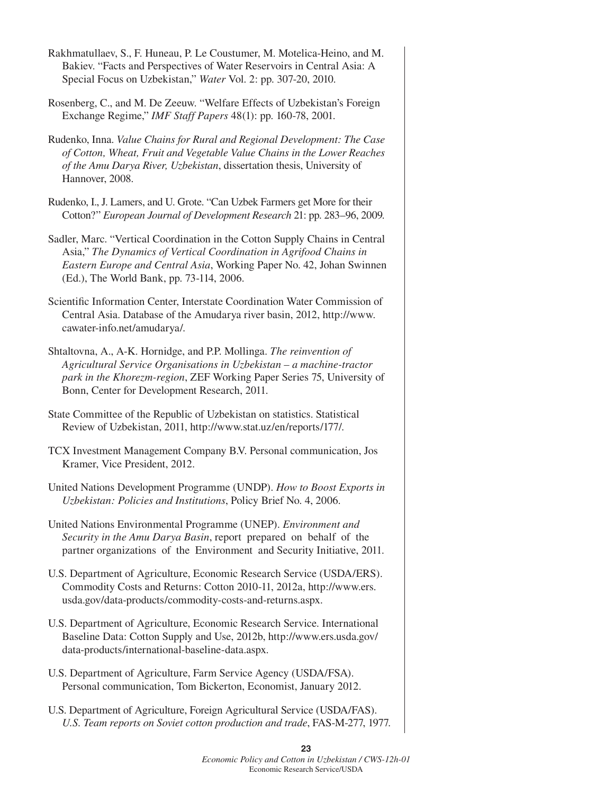- Rakhmatullaev, S., F. Huneau, P. Le Coustumer, M. Motelica-Heino, and M. Bakiev. "Facts and Perspectives of Water Reservoirs in Central Asia: A Special Focus on Uzbekistan," *Water* Vol. 2: pp. 307-20, 2010.
- Rosenberg, C., and M. De Zeeuw. "Welfare Effects of Uzbekistan's Foreign Exchange Regime," *IMF Staff Papers* 48(1): pp. 160-78, 2001.
- Rudenko, Inna. *Value Chains for Rural and Regional Development: The Case of Cotton, Wheat, Fruit and Vegetable Value Chains in the Lower Reaches of the Amu Darya River, Uzbekistan*, dissertation thesis, University of Hannover, 2008.
- Rudenko, I., J. Lamers, and U. Grote. "Can Uzbek Farmers get More for their Cotton?" *European Journal of Development Research* 21: pp. 283–96, 2009.
- Sadler, Marc. "Vertical Coordination in the Cotton Supply Chains in Central Asia," *The Dynamics of Vertical Coordination in Agrifood Chains in Eastern Europe and Central Asia*, Working Paper No. 42, Johan Swinnen (Ed.), The World Bank, pp. 73-114, 2006.
- Scientific Information Center, Interstate Coordination Water Commission of Central Asia. Database of the Amudarya river basin, 2012, http://www. cawater-info.net/amudarya/.
- Shtaltovna, A., A-K. Hornidge, and P.P. Mollinga. *The reinvention of Agricultural Service Organisations in Uzbekistan – a machine-tractor park in the Khorezm-region*, ZEF Working Paper Series 75, University of Bonn, Center for Development Research, 2011.
- State Committee of the Republic of Uzbekistan on statistics. Statistical Review of Uzbekistan, 2011, http://www.stat.uz/en/reports/177/.
- TCX Investment Management Company B.V. Personal communication, Jos Kramer, Vice President, 2012.
- United Nations Development Programme (UNDP). *How to Boost Exports in Uzbekistan: Policies and Institutions*, Policy Brief No. 4, 2006.
- United Nations Environmental Programme (UNEP). *Environment and Security in the Amu Darya Basin*, report prepared on behalf of the partner organizations of the Environment and Security Initiative, 2011.
- U.S. Department of Agriculture, Economic Research Service (USDA/ERS). Commodity Costs and Returns: Cotton 2010-11, 2012a, http://www.ers. usda.gov/data-products/commodity-costs-and-returns.aspx.
- U.S. Department of Agriculture, Economic Research Service. International Baseline Data: Cotton Supply and Use, 2012b, http://www.ers.usda.gov/ data-products/international-baseline-data.aspx.
- U.S. Department of Agriculture, Farm Service Agency (USDA/FSA). Personal communication, Tom Bickerton, Economist, January 2012.
- U.S. Department of Agriculture, Foreign Agricultural Service (USDA/FAS). *U.S. Team reports on Soviet cotton production and trade*, FAS-M-277, 1977.

*Economic Policy and Cotton in Uzbekistan / CWS-12h-01*  Economic Research Service/USDA

**23**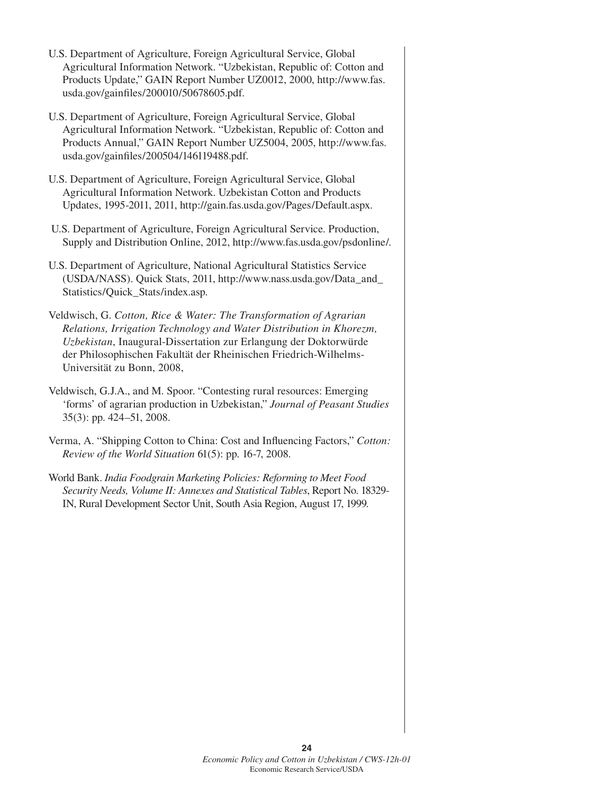- U.S. Department of Agriculture, Foreign Agricultural Service, Global Agricultural Information Network. "Uzbekistan, Republic of: Cotton and Products Update," GAIN Report Number UZ0012, 2000, http://www.fas. usda.gov/gainfiles/200010/50678605.pdf.
- U.S. Department of Agriculture, Foreign Agricultural Service, Global Agricultural Information Network. "Uzbekistan, Republic of: Cotton and Products Annual," GAIN Report Number UZ5004, 2005, http://www.fas. usda.gov/gainfiles/200504/146119488.pdf.
- U.S. Department of Agriculture, Foreign Agricultural Service, Global Agricultural Information Network. Uzbekistan Cotton and Products Updates, 1995-2011, 2011, http://gain.fas.usda.gov/Pages/Default.aspx.
- U.S. Department of Agriculture, Foreign Agricultural Service. Production, Supply and Distribution Online, 2012, http://www.fas.usda.gov/psdonline/.
- U.S. Department of Agriculture, National Agricultural Statistics Service (USDA/NASS). Quick Stats, 2011, http://www.nass.usda.gov/Data\_and\_ Statistics/Quick\_Stats/index.asp.
- Veldwisch, G. *Cotton, Rice & Water: The Transformation of Agrarian Relations, Irrigation Technology and Water Distribution in Khorezm, Uzbekistan*, Inaugural-Dissertation zur Erlangung der Doktorwürde der Philosophischen Fakultät der Rheinischen Friedrich-Wilhelms-Universität zu Bonn, 2008,
- Veldwisch, G.J.A., and M. Spoor. "Contesting rural resources: Emerging 'forms' of agrarian production in Uzbekistan," *Journal of Peasant Studies* 35(3): pp. 424–51, 2008.
- Verma, A. "Shipping Cotton to China: Cost and Influencing Factors," *Cotton: Review of the World Situation* 61(5): pp. 16-7, 2008.
- World Bank. *India Foodgrain Marketing Policies: Reforming to Meet Food Security Needs, Volume II: Annexes and Statistical Tables*, Report No. 18329- IN, Rural Development Sector Unit, South Asia Region, August 17, 1999.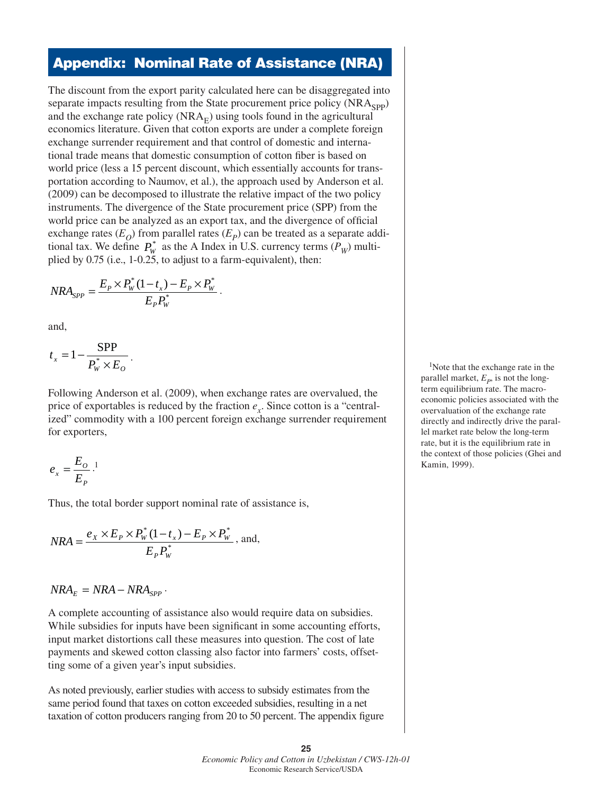#### **Appendix: Nominal Rate of Assistance (NRA)**

The discount from the export parity calculated here can be disaggregated into separate impacts resulting from the State procurement price policy  $(NRA<sub>SPP</sub>)$ and the exchange rate policy  $(NRA<sub>F</sub>)$  using tools found in the agricultural economics literature. Given that cotton exports are under a complete foreign exchange surrender requirement and that control of domestic and international trade means that domestic consumption of cotton fiber is based on world price (less a 15 percent discount, which essentially accounts for transportation according to Naumov, et al.), the approach used by Anderson et al. (2009) can be decomposed to illustrate the relative impact of the two policy instruments. The divergence of the State procurement price (SPP) from the world price can be analyzed as an export tax, and the divergence of official exchange rates  $(E<sub>O</sub>)$  from parallel rates  $(E<sub>P</sub>)$  can be treated as a separate additional tax. We define  $P_w^*$  as the A Index in U.S. currency terms ( $P_w$ ) multiplied by 0.75 (i.e., 1-0.25, to adjust to a farm-equivalent), then:

$$
NRA_{SPP} = \frac{E_P \times P_W^*(1-t_x) - E_P \times P_W^*}{E_P P_W^*}.
$$

and,

$$
t_x = 1 - \frac{\text{SPP}}{P_w^* \times E_o}.
$$

Following Anderson et al. (2009), when exchange rates are overvalued, the price of exportables is reduced by the fraction  $e_x$ . Since cotton is a "centralized" commodity with a 100 percent foreign exchange surrender requirement for exporters,

$$
e_x = \frac{E_o}{E_P}.
$$

Thus, the total border support nominal rate of assistance is,

$$
NRA = \frac{e_X \times E_P \times P_W^*(1 - t_x) - E_P \times P_W^*}{E_P P_W^*}, \text{ and,}
$$

$$
NRA_E = NRA - NRA_{SPP}.
$$

A complete accounting of assistance also would require data on subsidies. While subsidies for inputs have been significant in some accounting efforts, input market distortions call these measures into question. The cost of late payments and skewed cotton classing also factor into farmers' costs, offsetting some of a given year's input subsidies.

As noted previously, earlier studies with access to subsidy estimates from the same period found that taxes on cotton exceeded subsidies, resulting in a net taxation of cotton producers ranging from 20 to 50 percent. The appendix figure

<sup>1</sup>Note that the exchange rate in the parallel market,  $E_p$ , is not the longterm equilibrium rate. The macroeconomic policies associated with the overvaluation of the exchange rate directly and indirectly drive the parallel market rate below the long-term rate, but it is the equilibrium rate in the context of those policies (Ghei and Kamin, 1999).